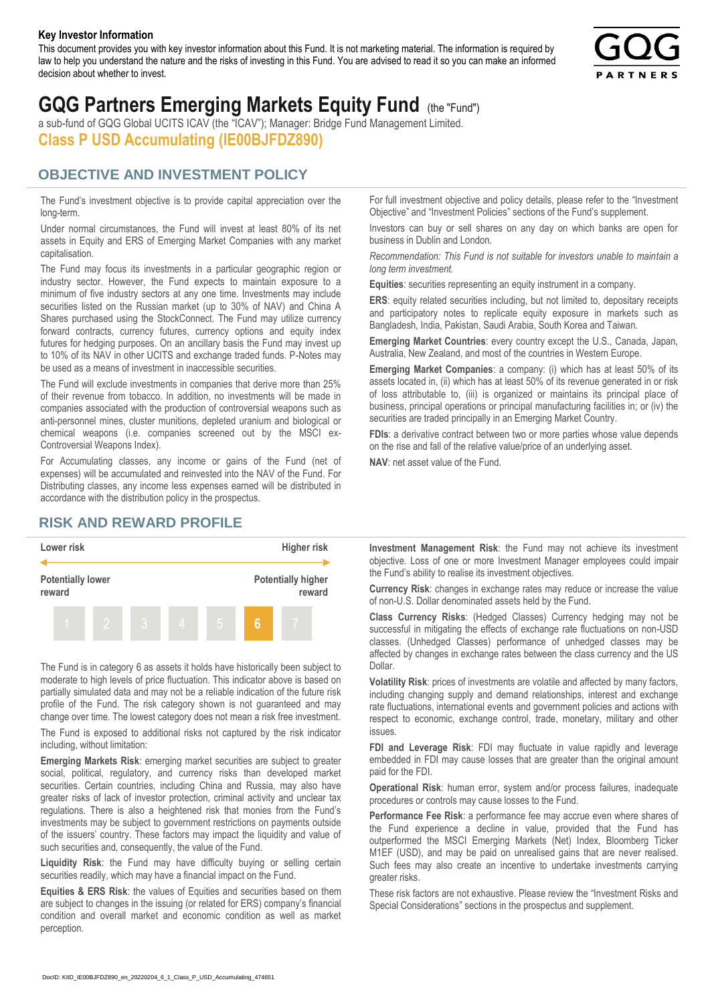#### **Key Investor Information**

This document provides you with key investor information about this Fund. It is not marketing material. The information is required by law to help you understand the nature and the risks of investing in this Fund. You are advised to read it so you can make an informed decision about whether to invest.



# **GQG Partners Emerging Markets Equity Fund** (the "Fund")

a sub-fund of GQG Global UCITS ICAV (the "ICAV"); Manager: Bridge Fund Management Limited. **Class P USD Accumulating (IE00BJFDZ890)**

#### **OBJECTIVE AND INVESTMENT POLICY**

The Fund's investment objective is to provide capital appreciation over the long-term.

Under normal circumstances, the Fund will invest at least 80% of its net assets in Equity and ERS of Emerging Market Companies with any market capitalisation.

The Fund may focus its investments in a particular geographic region or industry sector. However, the Fund expects to maintain exposure to a minimum of five industry sectors at any one time. Investments may include securities listed on the Russian market (up to 30% of NAV) and China A Shares purchased using the StockConnect. The Fund may utilize currency forward contracts, currency futures, currency options and equity index futures for hedging purposes. On an ancillary basis the Fund may invest up to 10% of its NAV in other UCITS and exchange traded funds. P-Notes may be used as a means of investment in inaccessible securities.

The Fund will exclude investments in companies that derive more than 25% of their revenue from tobacco. In addition, no investments will be made in companies associated with the production of controversial weapons such as anti-personnel mines, cluster munitions, depleted uranium and biological or chemical weapons (i.e. companies screened out by the MSCI ex-Controversial Weapons Index).

For Accumulating classes, any income or gains of the Fund (net of expenses) will be accumulated and reinvested into the NAV of the Fund. For Distributing classes, any income less expenses earned will be distributed in accordance with the distribution policy in the prospectus.

### **RISK AND REWARD PROFILE**



The Fund is in category 6 as assets it holds have historically been subject to moderate to high levels of price fluctuation. This indicator above is based on partially simulated data and may not be a reliable indication of the future risk profile of the Fund. The risk category shown is not guaranteed and may change over time. The lowest category does not mean a risk free investment.

The Fund is exposed to additional risks not captured by the risk indicator including, without limitation:

**Emerging Markets Risk**: emerging market securities are subject to greater social, political, regulatory, and currency risks than developed market securities. Certain countries, including China and Russia, may also have greater risks of lack of investor protection, criminal activity and unclear tax regulations. There is also a heightened risk that monies from the Fund's investments may be subject to government restrictions on payments outside of the issuers' country. These factors may impact the liquidity and value of such securities and, consequently, the value of the Fund.

**Liquidity Risk**: the Fund may have difficulty buying or selling certain securities readily, which may have a financial impact on the Fund.

**Equities & ERS Risk**: the values of Equities and securities based on them are subject to changes in the issuing (or related for ERS) company's financial condition and overall market and economic condition as well as market perception.

For full investment objective and policy details, please refer to the "Investment Objective" and "Investment Policies" sections of the Fund's supplement.

Investors can buy or sell shares on any day on which banks are open for business in Dublin and London.

*Recommendation: This Fund is not suitable for investors unable to maintain a long term investment.*

**Equities**: securities representing an equity instrument in a company.

**ERS:** equity related securities including, but not limited to, depositary receipts and participatory notes to replicate equity exposure in markets such as Bangladesh, India, Pakistan, Saudi Arabia, South Korea and Taiwan.

**Emerging Market Countries**: every country except the U.S., Canada, Japan, Australia, New Zealand, and most of the countries in Western Europe.

**Emerging Market Companies**: a company: (i) which has at least 50% of its assets located in, (ii) which has at least 50% of its revenue generated in or risk of loss attributable to, (iii) is organized or maintains its principal place of business, principal operations or principal manufacturing facilities in; or (iv) the securities are traded principally in an Emerging Market Country.

**FDIs**: a derivative contract between two or more parties whose value depends on the rise and fall of the relative value/price of an underlying asset.

**NAV**: net asset value of the Fund.

**Investment Management Risk**: the Fund may not achieve its investment objective. Loss of one or more Investment Manager employees could impair the Fund's ability to realise its investment objectives.

**Currency Risk**: changes in exchange rates may reduce or increase the value of non-U.S. Dollar denominated assets held by the Fund.

**Class Currency Risks**: (Hedged Classes) Currency hedging may not be successful in mitigating the effects of exchange rate fluctuations on non-USD classes. (Unhedged Classes) performance of unhedged classes may be affected by changes in exchange rates between the class currency and the US Dollar.

**Volatility Risk**: prices of investments are volatile and affected by many factors, including changing supply and demand relationships, interest and exchange rate fluctuations, international events and government policies and actions with respect to economic, exchange control, trade, monetary, military and other issues.

**FDI and Leverage Risk**: FDI may fluctuate in value rapidly and leverage embedded in FDI may cause losses that are greater than the original amount paid for the FDI.

**Operational Risk**: human error, system and/or process failures, inadequate procedures or controls may cause losses to the Fund.

**Performance Fee Risk**: a performance fee may accrue even where shares of the Fund experience a decline in value, provided that the Fund has outperformed the MSCI Emerging Markets (Net) Index, Bloomberg Ticker M1EF (USD), and may be paid on unrealised gains that are never realised. Such fees may also create an incentive to undertake investments carrying greater risks.

These risk factors are not exhaustive. Please review the "Investment Risks and Special Considerations" sections in the prospectus and supplement.